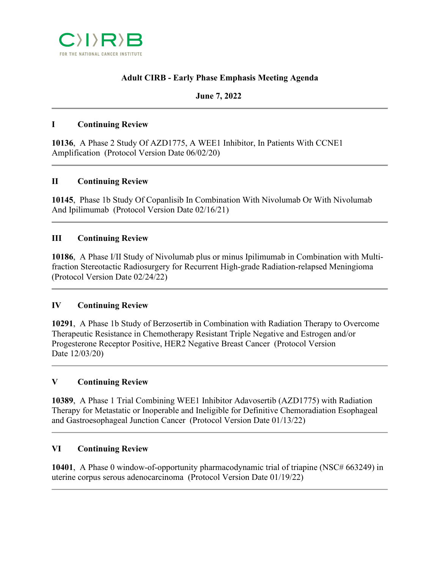

# **Adult CIRB - Early Phase Emphasis Meeting Agenda**

## **June 7, 2022**

## **I Continuing Review**

**10136**, A Phase 2 Study Of AZD1775, A WEE1 Inhibitor, In Patients With CCNE1 Amplification (Protocol Version Date 06/02/20)

## **II Continuing Review**

**10145**, Phase 1b Study Of Copanlisib In Combination With Nivolumab Or With Nivolumab And Ipilimumab (Protocol Version Date 02/16/21)

## **III Continuing Review**

**10186**, A Phase I/II Study of Nivolumab plus or minus Ipilimumab in Combination with Multifraction Stereotactic Radiosurgery for Recurrent High-grade Radiation-relapsed Meningioma (Protocol Version Date 02/24/22)

### **IV Continuing Review**

**10291**, A Phase 1b Study of Berzosertib in Combination with Radiation Therapy to Overcome Therapeutic Resistance in Chemotherapy Resistant Triple Negative and Estrogen and/or Progesterone Receptor Positive, HER2 Negative Breast Cancer (Protocol Version Date 12/03/20)

### **V Continuing Review**

**10389**, A Phase 1 Trial Combining WEE1 Inhibitor Adavosertib (AZD1775) with Radiation Therapy for Metastatic or Inoperable and Ineligible for Definitive Chemoradiation Esophageal and Gastroesophageal Junction Cancer (Protocol Version Date 01/13/22)

### **VI Continuing Review**

**10401**, A Phase 0 window-of-opportunity pharmacodynamic trial of triapine (NSC# 663249) in uterine corpus serous adenocarcinoma (Protocol Version Date 01/19/22)